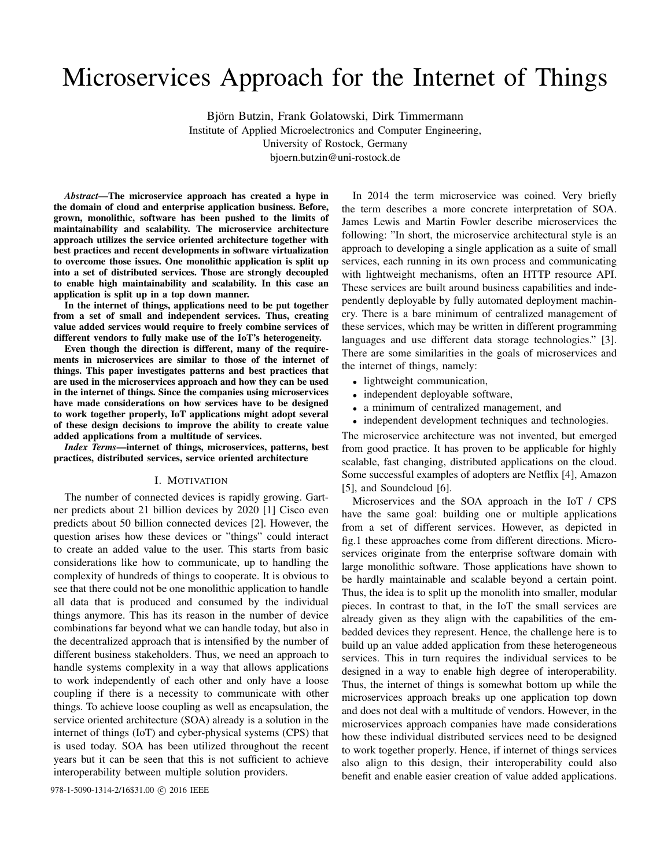# Microservices Approach for the Internet of Things

Björn Butzin, Frank Golatowski, Dirk Timmermann Institute of Applied Microelectronics and Computer Engineering, University of Rostock, Germany bjoern.butzin@uni-rostock.de

*Abstract*—The microservice approach has created a hype in the domain of cloud and enterprise application business. Before, grown, monolithic, software has been pushed to the limits of maintainability and scalability. The microservice architecture approach utilizes the service oriented architecture together with best practices and recent developments in software virtualization to overcome those issues. One monolithic application is split up into a set of distributed services. Those are strongly decoupled to enable high maintainability and scalability. In this case an application is split up in a top down manner.

In the internet of things, applications need to be put together from a set of small and independent services. Thus, creating value added services would require to freely combine services of different vendors to fully make use of the IoT's heterogeneity.

Even though the direction is different, many of the requirements in microservices are similar to those of the internet of things. This paper investigates patterns and best practices that are used in the microservices approach and how they can be used in the internet of things. Since the companies using microservices have made considerations on how services have to be designed to work together properly, IoT applications might adopt several of these design decisions to improve the ability to create value added applications from a multitude of services.

*Index Terms*—internet of things, microservices, patterns, best practices, distributed services, service oriented architecture

#### I. MOTIVATION

The number of connected devices is rapidly growing. Gartner predicts about 21 billion devices by 2020 [1] Cisco even predicts about 50 billion connected devices [2]. However, the question arises how these devices or "things" could interact to create an added value to the user. This starts from basic considerations like how to communicate, up to handling the complexity of hundreds of things to cooperate. It is obvious to see that there could not be one monolithic application to handle all data that is produced and consumed by the individual things anymore. This has its reason in the number of device combinations far beyond what we can handle today, but also in the decentralized approach that is intensified by the number of different business stakeholders. Thus, we need an approach to handle systems complexity in a way that allows applications to work independently of each other and only have a loose coupling if there is a necessity to communicate with other things. To achieve loose coupling as well as encapsulation, the service oriented architecture (SOA) already is a solution in the internet of things (IoT) and cyber-physical systems (CPS) that is used today. SOA has been utilized throughout the recent years but it can be seen that this is not sufficient to achieve interoperability between multiple solution providers.

978-1-5090-1314-2/16\$31.00 © 2016 IEEE

In 2014 the term microservice was coined. Very briefly the term describes a more concrete interpretation of SOA. James Lewis and Martin Fowler describe microservices the following: "In short, the microservice architectural style is an approach to developing a single application as a suite of small services, each running in its own process and communicating with lightweight mechanisms, often an HTTP resource API. These services are built around business capabilities and independently deployable by fully automated deployment machinery. There is a bare minimum of centralized management of these services, which may be written in different programming languages and use different data storage technologies." [3]. There are some similarities in the goals of microservices and the internet of things, namely:

- lightweight communication,
- independent deployable software,
- a minimum of centralized management, and
- independent development techniques and technologies.

The microservice architecture was not invented, but emerged from good practice. It has proven to be applicable for highly scalable, fast changing, distributed applications on the cloud. Some successful examples of adopters are Netflix [4], Amazon [5], and Soundcloud [6].

Microservices and the SOA approach in the IoT / CPS have the same goal: building one or multiple applications from a set of different services. However, as depicted in fig.1 these approaches come from different directions. Microservices originate from the enterprise software domain with large monolithic software. Those applications have shown to be hardly maintainable and scalable beyond a certain point. Thus, the idea is to split up the monolith into smaller, modular pieces. In contrast to that, in the IoT the small services are already given as they align with the capabilities of the embedded devices they represent. Hence, the challenge here is to build up an value added application from these heterogeneous services. This in turn requires the individual services to be designed in a way to enable high degree of interoperability. Thus, the internet of things is somewhat bottom up while the microservices approach breaks up one application top down and does not deal with a multitude of vendors. However, in the microservices approach companies have made considerations how these individual distributed services need to be designed to work together properly. Hence, if internet of things services also align to this design, their interoperability could also benefit and enable easier creation of value added applications.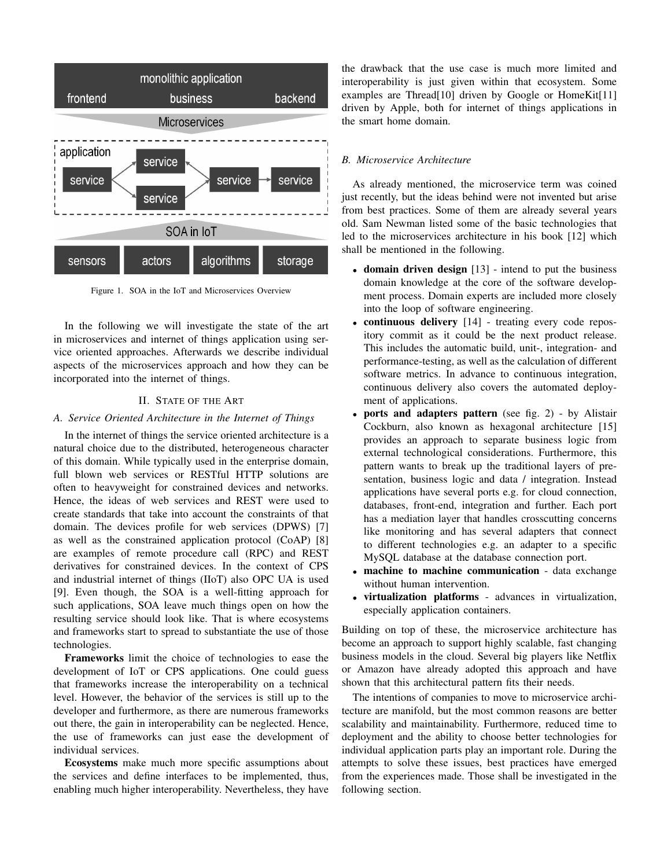

Figure 1. SOA in the IoT and Microservices Overview

In the following we will investigate the state of the art in microservices and internet of things application using service oriented approaches. Afterwards we describe individual aspects of the microservices approach and how they can be incorporated into the internet of things.

## II. STATE OF THE ART

#### *A. Service Oriented Architecture in the Internet of Things*

In the internet of things the service oriented architecture is a natural choice due to the distributed, heterogeneous character of this domain. While typically used in the enterprise domain, full blown web services or RESTful HTTP solutions are often to heavyweight for constrained devices and networks. Hence, the ideas of web services and REST were used to create standards that take into account the constraints of that domain. The devices profile for web services (DPWS) [7] as well as the constrained application protocol (CoAP) [8] are examples of remote procedure call (RPC) and REST derivatives for constrained devices. In the context of CPS and industrial internet of things (IIoT) also OPC UA is used [9]. Even though, the SOA is a well-fitting approach for such applications, SOA leave much things open on how the resulting service should look like. That is where ecosystems and frameworks start to spread to substantiate the use of those technologies.

Frameworks limit the choice of technologies to ease the development of IoT or CPS applications. One could guess that frameworks increase the interoperability on a technical level. However, the behavior of the services is still up to the developer and furthermore, as there are numerous frameworks out there, the gain in interoperability can be neglected. Hence, the use of frameworks can just ease the development of individual services.

Ecosystems make much more specific assumptions about the services and define interfaces to be implemented, thus, enabling much higher interoperability. Nevertheless, they have the drawback that the use case is much more limited and interoperability is just given within that ecosystem. Some examples are Thread<sup>[10]</sup> driven by Google or HomeKit<sup>[11]</sup> driven by Apple, both for internet of things applications in the smart home domain.

## *B. Microservice Architecture*

As already mentioned, the microservice term was coined just recently, but the ideas behind were not invented but arise from best practices. Some of them are already several years old. Sam Newman listed some of the basic technologies that led to the microservices architecture in his book [12] which shall be mentioned in the following.

- domain driven design [13] intend to put the business domain knowledge at the core of the software development process. Domain experts are included more closely into the loop of software engineering.
- continuous delivery [14] treating every code repository commit as it could be the next product release. This includes the automatic build, unit-, integration- and performance-testing, as well as the calculation of different software metrics. In advance to continuous integration, continuous delivery also covers the automated deployment of applications.
- ports and adapters pattern (see fig. 2) by Alistair Cockburn, also known as hexagonal architecture [15] provides an approach to separate business logic from external technological considerations. Furthermore, this pattern wants to break up the traditional layers of presentation, business logic and data / integration. Instead applications have several ports e.g. for cloud connection, databases, front-end, integration and further. Each port has a mediation layer that handles crosscutting concerns like monitoring and has several adapters that connect to different technologies e.g. an adapter to a specific MySQL database at the database connection port.
- machine to machine communication data exchange without human intervention.
- virtualization platforms advances in virtualization, especially application containers.

Building on top of these, the microservice architecture has become an approach to support highly scalable, fast changing business models in the cloud. Several big players like Netflix or Amazon have already adopted this approach and have shown that this architectural pattern fits their needs.

The intentions of companies to move to microservice architecture are manifold, but the most common reasons are better scalability and maintainability. Furthermore, reduced time to deployment and the ability to choose better technologies for individual application parts play an important role. During the attempts to solve these issues, best practices have emerged from the experiences made. Those shall be investigated in the following section.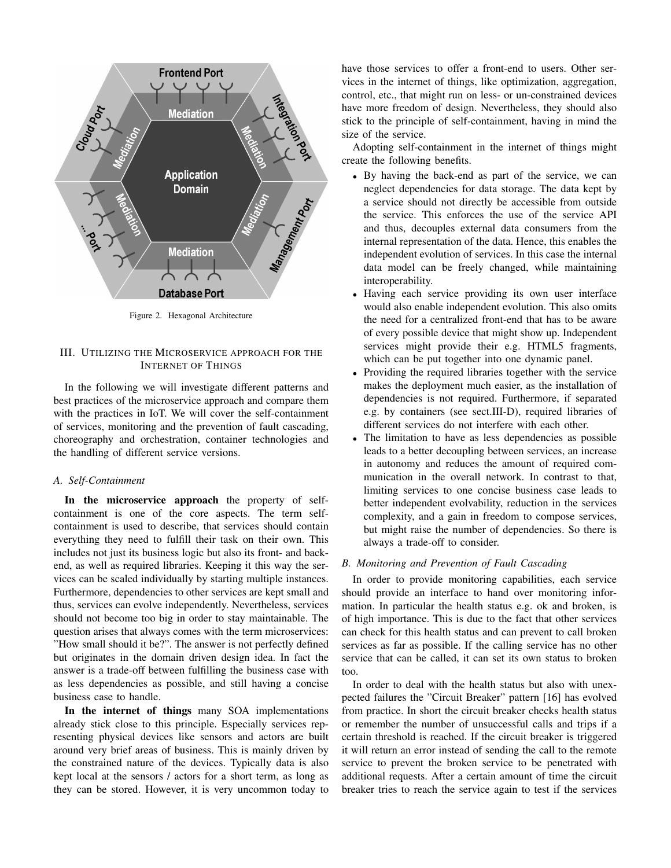

Figure 2. Hexagonal Architecture

## III. UTILIZING THE MICROSERVICE APPROACH FOR THE INTERNET OF THINGS

In the following we will investigate different patterns and best practices of the microservice approach and compare them with the practices in IoT. We will cover the self-containment of services, monitoring and the prevention of fault cascading, choreography and orchestration, container technologies and the handling of different service versions.

## *A. Self-Containment*

In the microservice approach the property of selfcontainment is one of the core aspects. The term selfcontainment is used to describe, that services should contain everything they need to fulfill their task on their own. This includes not just its business logic but also its front- and backend, as well as required libraries. Keeping it this way the services can be scaled individually by starting multiple instances. Furthermore, dependencies to other services are kept small and thus, services can evolve independently. Nevertheless, services should not become too big in order to stay maintainable. The question arises that always comes with the term microservices: "How small should it be?". The answer is not perfectly defined but originates in the domain driven design idea. In fact the answer is a trade-off between fulfilling the business case with as less dependencies as possible, and still having a concise business case to handle.

In the internet of things many SOA implementations already stick close to this principle. Especially services representing physical devices like sensors and actors are built around very brief areas of business. This is mainly driven by the constrained nature of the devices. Typically data is also kept local at the sensors / actors for a short term, as long as they can be stored. However, it is very uncommon today to have those services to offer a front-end to users. Other services in the internet of things, like optimization, aggregation, control, etc., that might run on less- or un-constrained devices have more freedom of design. Nevertheless, they should also stick to the principle of self-containment, having in mind the size of the service.

Adopting self-containment in the internet of things might create the following benefits.

- By having the back-end as part of the service, we can neglect dependencies for data storage. The data kept by a service should not directly be accessible from outside the service. This enforces the use of the service API and thus, decouples external data consumers from the internal representation of the data. Hence, this enables the independent evolution of services. In this case the internal data model can be freely changed, while maintaining interoperability.
- Having each service providing its own user interface would also enable independent evolution. This also omits the need for a centralized front-end that has to be aware of every possible device that might show up. Independent services might provide their e.g. HTML5 fragments, which can be put together into one dynamic panel.
- Providing the required libraries together with the service makes the deployment much easier, as the installation of dependencies is not required. Furthermore, if separated e.g. by containers (see sect.III-D), required libraries of different services do not interfere with each other.
- The limitation to have as less dependencies as possible leads to a better decoupling between services, an increase in autonomy and reduces the amount of required communication in the overall network. In contrast to that, limiting services to one concise business case leads to better independent evolvability, reduction in the services complexity, and a gain in freedom to compose services, but might raise the number of dependencies. So there is always a trade-off to consider.

## *B. Monitoring and Prevention of Fault Cascading*

In order to provide monitoring capabilities, each service should provide an interface to hand over monitoring information. In particular the health status e.g. ok and broken, is of high importance. This is due to the fact that other services can check for this health status and can prevent to call broken services as far as possible. If the calling service has no other service that can be called, it can set its own status to broken too.

In order to deal with the health status but also with unexpected failures the "Circuit Breaker" pattern [16] has evolved from practice. In short the circuit breaker checks health status or remember the number of unsuccessful calls and trips if a certain threshold is reached. If the circuit breaker is triggered it will return an error instead of sending the call to the remote service to prevent the broken service to be penetrated with additional requests. After a certain amount of time the circuit breaker tries to reach the service again to test if the services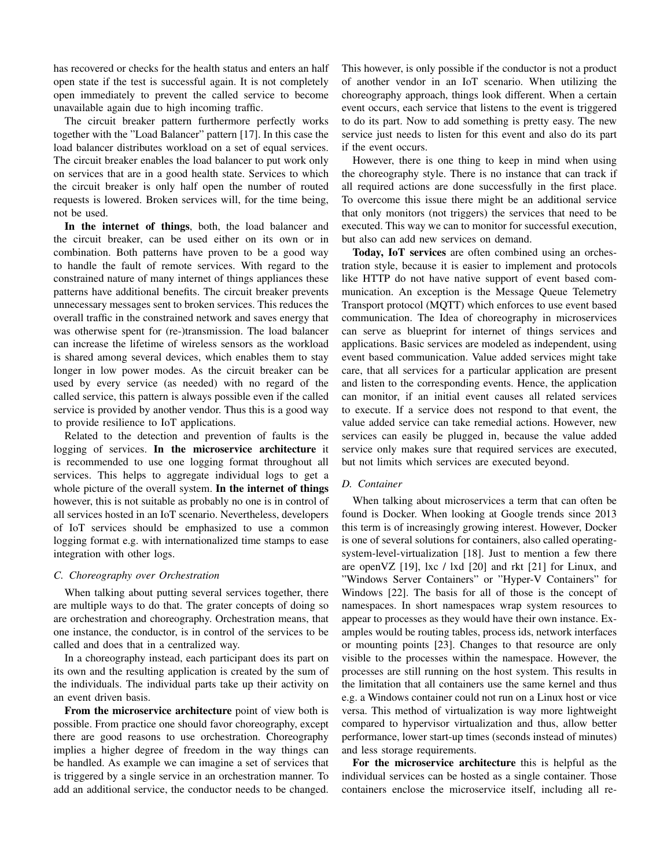has recovered or checks for the health status and enters an half open state if the test is successful again. It is not completely open immediately to prevent the called service to become unavailable again due to high incoming traffic.

The circuit breaker pattern furthermore perfectly works together with the "Load Balancer" pattern [17]. In this case the load balancer distributes workload on a set of equal services. The circuit breaker enables the load balancer to put work only on services that are in a good health state. Services to which the circuit breaker is only half open the number of routed requests is lowered. Broken services will, for the time being, not be used.

In the internet of things, both, the load balancer and the circuit breaker, can be used either on its own or in combination. Both patterns have proven to be a good way to handle the fault of remote services. With regard to the constrained nature of many internet of things appliances these patterns have additional benefits. The circuit breaker prevents unnecessary messages sent to broken services. This reduces the overall traffic in the constrained network and saves energy that was otherwise spent for (re-)transmission. The load balancer can increase the lifetime of wireless sensors as the workload is shared among several devices, which enables them to stay longer in low power modes. As the circuit breaker can be used by every service (as needed) with no regard of the called service, this pattern is always possible even if the called service is provided by another vendor. Thus this is a good way to provide resilience to IoT applications.

Related to the detection and prevention of faults is the logging of services. In the microservice architecture it is recommended to use one logging format throughout all services. This helps to aggregate individual logs to get a whole picture of the overall system. In the internet of things however, this is not suitable as probably no one is in control of all services hosted in an IoT scenario. Nevertheless, developers of IoT services should be emphasized to use a common logging format e.g. with internationalized time stamps to ease integration with other logs.

# *C. Choreography over Orchestration*

When talking about putting several services together, there are multiple ways to do that. The grater concepts of doing so are orchestration and choreography. Orchestration means, that one instance, the conductor, is in control of the services to be called and does that in a centralized way.

In a choreography instead, each participant does its part on its own and the resulting application is created by the sum of the individuals. The individual parts take up their activity on an event driven basis.

From the microservice architecture point of view both is possible. From practice one should favor choreography, except there are good reasons to use orchestration. Choreography implies a higher degree of freedom in the way things can be handled. As example we can imagine a set of services that is triggered by a single service in an orchestration manner. To add an additional service, the conductor needs to be changed. This however, is only possible if the conductor is not a product of another vendor in an IoT scenario. When utilizing the choreography approach, things look different. When a certain event occurs, each service that listens to the event is triggered to do its part. Now to add something is pretty easy. The new service just needs to listen for this event and also do its part if the event occurs.

However, there is one thing to keep in mind when using the choreography style. There is no instance that can track if all required actions are done successfully in the first place. To overcome this issue there might be an additional service that only monitors (not triggers) the services that need to be executed. This way we can to monitor for successful execution, but also can add new services on demand.

Today, IoT services are often combined using an orchestration style, because it is easier to implement and protocols like HTTP do not have native support of event based communication. An exception is the Message Queue Telemetry Transport protocol (MQTT) which enforces to use event based communication. The Idea of choreography in microservices can serve as blueprint for internet of things services and applications. Basic services are modeled as independent, using event based communication. Value added services might take care, that all services for a particular application are present and listen to the corresponding events. Hence, the application can monitor, if an initial event causes all related services to execute. If a service does not respond to that event, the value added service can take remedial actions. However, new services can easily be plugged in, because the value added service only makes sure that required services are executed, but not limits which services are executed beyond.

# *D. Container*

When talking about microservices a term that can often be found is Docker. When looking at Google trends since 2013 this term is of increasingly growing interest. However, Docker is one of several solutions for containers, also called operatingsystem-level-virtualization [18]. Just to mention a few there are open  $VZ$  [19], lxc / lxd [20] and rkt [21] for Linux, and "Windows Server Containers" or "Hyper-V Containers" for Windows [22]. The basis for all of those is the concept of namespaces. In short namespaces wrap system resources to appear to processes as they would have their own instance. Examples would be routing tables, process ids, network interfaces or mounting points [23]. Changes to that resource are only visible to the processes within the namespace. However, the processes are still running on the host system. This results in the limitation that all containers use the same kernel and thus e.g. a Windows container could not run on a Linux host or vice versa. This method of virtualization is way more lightweight compared to hypervisor virtualization and thus, allow better performance, lower start-up times (seconds instead of minutes) and less storage requirements.

For the microservice architecture this is helpful as the individual services can be hosted as a single container. Those containers enclose the microservice itself, including all re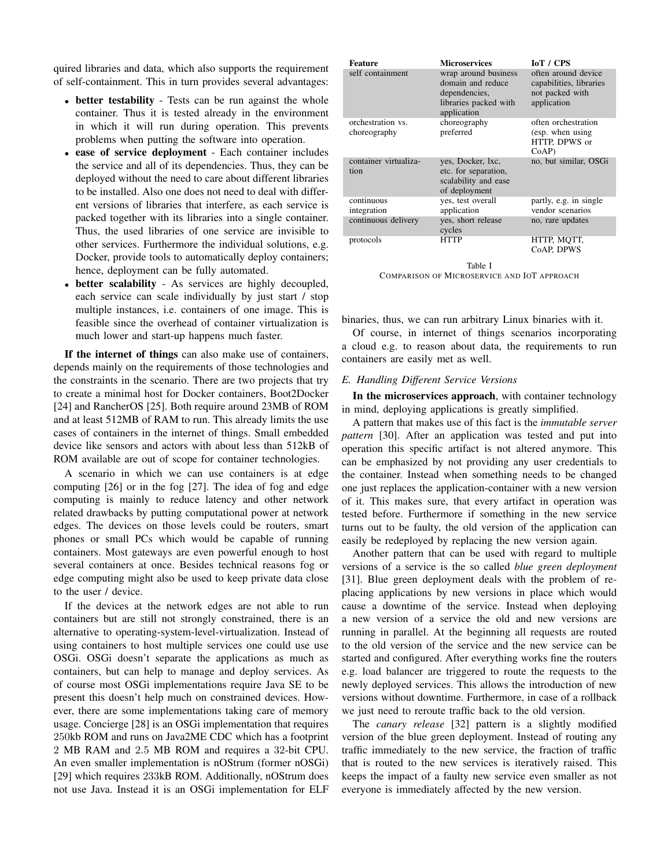quired libraries and data, which also supports the requirement of self-containment. This in turn provides several advantages:

- better testability Tests can be run against the whole container. Thus it is tested already in the environment in which it will run during operation. This prevents problems when putting the software into operation.
- ease of service deployment Each container includes the service and all of its dependencies. Thus, they can be deployed without the need to care about different libraries to be installed. Also one does not need to deal with different versions of libraries that interfere, as each service is packed together with its libraries into a single container. Thus, the used libraries of one service are invisible to other services. Furthermore the individual solutions, e.g. Docker, provide tools to automatically deploy containers; hence, deployment can be fully automated.
- better scalability As services are highly decoupled, each service can scale individually by just start / stop multiple instances, i.e. containers of one image. This is feasible since the overhead of container virtualization is much lower and start-up happens much faster.

If the internet of things can also make use of containers, depends mainly on the requirements of those technologies and the constraints in the scenario. There are two projects that try to create a minimal host for Docker containers, Boot2Docker [24] and RancherOS [25]. Both require around 23MB of ROM and at least 512MB of RAM to run. This already limits the use cases of containers in the internet of things. Small embedded device like sensors and actors with about less than 512kB of ROM available are out of scope for container technologies.

A scenario in which we can use containers is at edge computing [26] or in the fog [27]. The idea of fog and edge computing is mainly to reduce latency and other network related drawbacks by putting computational power at network edges. The devices on those levels could be routers, smart phones or small PCs which would be capable of running containers. Most gateways are even powerful enough to host several containers at once. Besides technical reasons fog or edge computing might also be used to keep private data close to the user / device.

If the devices at the network edges are not able to run containers but are still not strongly constrained, there is an alternative to operating-system-level-virtualization. Instead of using containers to host multiple services one could use use OSGi. OSGi doesn't separate the applications as much as containers, but can help to manage and deploy services. As of course most OSGi implementations require Java SE to be present this doesn't help much on constrained devices. However, there are some implementations taking care of memory usage. Concierge [28] is an OSGi implementation that requires 250kb ROM and runs on Java2ME CDC which has a footprint 2 MB RAM and 2.5 MB ROM and requires a 32-bit CPU. An even smaller implementation is nOStrum (former nOSGi) [29] which requires 233kB ROM. Additionally, nOStrum does not use Java. Instead it is an OSGi implementation for ELF

| <b>Feature</b>                    | <b>Microservices</b>                                                                               | <b>IoT</b> / CPS                                                                 |
|-----------------------------------|----------------------------------------------------------------------------------------------------|----------------------------------------------------------------------------------|
| self containment                  | wrap around business<br>domain and reduce<br>dependencies,<br>libraries packed with<br>application | often around device<br>capabilities, libraries<br>not packed with<br>application |
| orchestration vs.<br>choreography | choreography<br>preferred                                                                          | often orchestration<br>(esp. when using<br>HTTP, DPWS or<br>CoAP                 |
| container virtualiza-<br>tion     | yes, Docker, lxc,<br>etc. for separation,<br>scalability and ease<br>of deployment                 | no, but similar, OSGi                                                            |
| continuous<br>integration         | yes, test overall<br>application                                                                   | partly, e.g. in single<br>vendor scenarios                                       |
| continuous delivery               | yes, short release<br>cycles                                                                       | no, rare updates                                                                 |
| protocols                         | <b>HTTP</b>                                                                                        | HTTP, MQTT,<br>CoAP, DPWS                                                        |
|                                   | T-1-1-T                                                                                            |                                                                                  |

Table I COMPARISON OF MICROSERVICE AND IOT APPROACH

binaries, thus, we can run arbitrary Linux binaries with it.

Of course, in internet of things scenarios incorporating a cloud e.g. to reason about data, the requirements to run containers are easily met as well.

#### *E. Handling Different Service Versions*

In the microservices approach, with container technology in mind, deploying applications is greatly simplified.

A pattern that makes use of this fact is the *immutable server pattern* [30]. After an application was tested and put into operation this specific artifact is not altered anymore. This can be emphasized by not providing any user credentials to the container. Instead when something needs to be changed one just replaces the application-container with a new version of it. This makes sure, that every artifact in operation was tested before. Furthermore if something in the new service turns out to be faulty, the old version of the application can easily be redeployed by replacing the new version again.

Another pattern that can be used with regard to multiple versions of a service is the so called *blue green deployment* [31]. Blue green deployment deals with the problem of replacing applications by new versions in place which would cause a downtime of the service. Instead when deploying a new version of a service the old and new versions are running in parallel. At the beginning all requests are routed to the old version of the service and the new service can be started and configured. After everything works fine the routers e.g. load balancer are triggered to route the requests to the newly deployed services. This allows the introduction of new versions without downtime. Furthermore, in case of a rollback we just need to reroute traffic back to the old version.

The *canary release* [32] pattern is a slightly modified version of the blue green deployment. Instead of routing any traffic immediately to the new service, the fraction of traffic that is routed to the new services is iteratively raised. This keeps the impact of a faulty new service even smaller as not everyone is immediately affected by the new version.